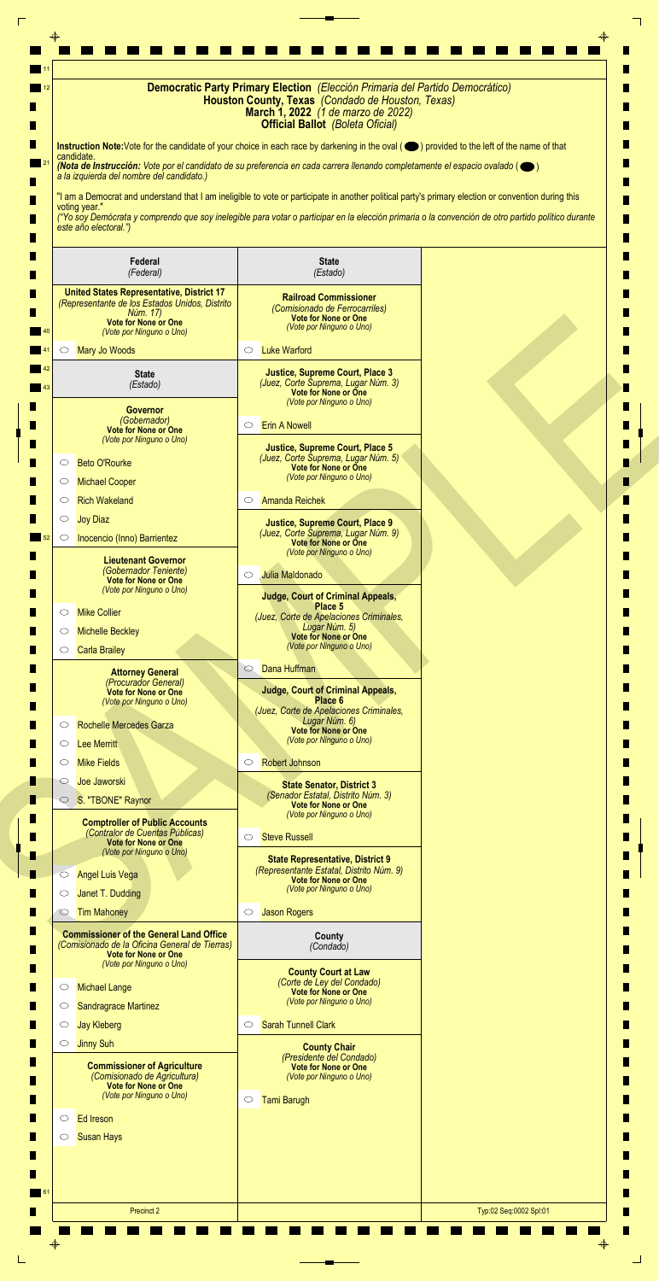| $\blacksquare$ 11<br>12 |                                                                                                                                                                    | Democratic Party Primary Election (Elección Primaria del Partido Democrático)<br>Houston County, Texas (Condado de Houston, Texas)<br>March 1, 2022 (1 de marzo de 2022)<br><b>Official Ballot</b> (Boleta Oficial)                                                                                                                                                                                                                                                                                                                                                                               |  |
|-------------------------|--------------------------------------------------------------------------------------------------------------------------------------------------------------------|---------------------------------------------------------------------------------------------------------------------------------------------------------------------------------------------------------------------------------------------------------------------------------------------------------------------------------------------------------------------------------------------------------------------------------------------------------------------------------------------------------------------------------------------------------------------------------------------------|--|
| w                       | candidate.<br>a la izquierda del nombre del candidato.)<br>voting year."<br>este año electoral.")                                                                  | Instruction Note: Vote for the candidate of your choice in each race by darkening in the oval (O) provided to the left of the name of that<br>(Nota de Instrucción: Vote por el candidato de su preferencia en cada carrera llenando completamente el espacio ovalado ( $\bigcirc$ )<br>"I am a Democrat and understand that I am ineligible to vote or participate in another political party's primary election or convention during this<br>("Yo soy Demócrata y comprendo que soy inelegible para votar o participar en la elección primaria o la convención de otro partido político durante |  |
|                         | Federal<br>(Federal)                                                                                                                                               | <b>State</b><br>(Estado)                                                                                                                                                                                                                                                                                                                                                                                                                                                                                                                                                                          |  |
|                         | <b>United States Representative, District 17</b><br>(Representante de los Estados Unidos, Distrito<br>Núm. 17)<br>Vote for None or One<br>(Vote por Ninguno o Uno) | <b>Railroad Commissioner</b><br>(Comisionado de Ferrocarriles)<br><b>Vote for None or One</b><br>(Vote por Ninguno o Uno)                                                                                                                                                                                                                                                                                                                                                                                                                                                                         |  |
|                         | <b>Mary Jo Woods</b><br>$\circ$                                                                                                                                    | <b>Luke Warford</b><br>$\circ$                                                                                                                                                                                                                                                                                                                                                                                                                                                                                                                                                                    |  |
| 43                      | <b>State</b><br>(Estado)                                                                                                                                           | <b>Justice, Supreme Court, Place 3</b><br>(Juez, Corte Suprema, Lugar Núm. 3)<br>Vote for None or One<br>(Vote por Ninguno o Uno)                                                                                                                                                                                                                                                                                                                                                                                                                                                                 |  |
| ш<br>ш                  | <b>Governor</b><br>(Gobernador)<br><b>Vote for None or One</b><br>(Vote por Ninguno o Uno)                                                                         | <b>Erin A Nowell</b><br>O                                                                                                                                                                                                                                                                                                                                                                                                                                                                                                                                                                         |  |
|                         | <b>Beto O'Rourke</b><br>O                                                                                                                                          | <b>Justice, Supreme Court, Place 5</b><br>(Juez, Corte Suprema, Lugar Núm. 5)<br><b>Vote for None or One</b>                                                                                                                                                                                                                                                                                                                                                                                                                                                                                      |  |
|                         | <b>Michael Cooper</b><br>$\circ$                                                                                                                                   | (Vote por Ninguno o Uno)                                                                                                                                                                                                                                                                                                                                                                                                                                                                                                                                                                          |  |
|                         | <b>Rich Wakeland</b><br>$\circ$                                                                                                                                    | <b>Amanda Reichek</b><br>$\circ$                                                                                                                                                                                                                                                                                                                                                                                                                                                                                                                                                                  |  |
| 52                      | <b>Joy Diaz</b><br>$\circ$<br>Inocencio (Inno) Barrientez<br>$\circ$                                                                                               | <b>Justice, Supreme Court, Place 9</b><br>(Juez, Corte Suprema, Lugar Núm. 9)<br><b>Vote for None or One</b><br>(Vote por Ninguno o Uno)                                                                                                                                                                                                                                                                                                                                                                                                                                                          |  |
|                         | <b>Lieutenant Governor</b><br>(Gobernador Teniente)<br><b>Vote for None or One</b><br>(Vote por Ninguno o Uno)                                                     | Julia Maldonado<br>$\circ$                                                                                                                                                                                                                                                                                                                                                                                                                                                                                                                                                                        |  |
|                         | <b>Mike Collier</b><br>$\circ$                                                                                                                                     | <b>Judge, Court of Criminal Appeals,</b><br>Place 5                                                                                                                                                                                                                                                                                                                                                                                                                                                                                                                                               |  |
|                         | <b>Michelle Beckley</b><br>$\circ$                                                                                                                                 | (Juez, Corte de Apelaciones Criminales,<br>Lugar Núm. 5)                                                                                                                                                                                                                                                                                                                                                                                                                                                                                                                                          |  |
|                         | <b>Carla Brailey</b><br>$\circ$                                                                                                                                    | Vote for None or One<br>(Vote por Ninguno o Uno)                                                                                                                                                                                                                                                                                                                                                                                                                                                                                                                                                  |  |
|                         | <b>Attorney General</b><br>(Procurador General)<br><b>Vote for None or One</b><br>(Vote por Ninguno o Uno)<br>Rochelle Mercedes Garza<br>$\circ$                   | Dana Huffman<br>$\circ$<br><b>Judge, Court of Criminal Appeals,</b><br>Place 6<br>(Juez, Corte de Apelaciones Criminales,<br>Lugar Núm. 6)                                                                                                                                                                                                                                                                                                                                                                                                                                                        |  |
|                         | <b>Lee Merritt</b><br>$\circ$                                                                                                                                      | Vote for None or One<br>(Vote por Ninguno o Uno)                                                                                                                                                                                                                                                                                                                                                                                                                                                                                                                                                  |  |
|                         | <b>Mike Fields</b><br>$\circ$                                                                                                                                      | <b>Robert Johnson</b><br>$\circlearrowright$                                                                                                                                                                                                                                                                                                                                                                                                                                                                                                                                                      |  |
|                         | Joe Jaworski<br>$\circ$                                                                                                                                            |                                                                                                                                                                                                                                                                                                                                                                                                                                                                                                                                                                                                   |  |
| H                       | S. "TBONE" Raynor                                                                                                                                                  | <b>State Senator, District 3</b><br>(Senador Estatal, Distrito Núm. 3)<br><b>Vote for None or One</b><br>(Vote por Ninguno o Uno)                                                                                                                                                                                                                                                                                                                                                                                                                                                                 |  |
| Ш<br>П<br>Ш             | <b>Comptroller of Public Accounts</b><br>(Contralor de Cuentas Públicas)<br><b>Vote for None or One</b><br>(Vote por Ninguno o Uno)                                | <b>Steve Russell</b><br>$\circ$                                                                                                                                                                                                                                                                                                                                                                                                                                                                                                                                                                   |  |
|                         | <b>Angel Luis Vega</b><br>$\circ$                                                                                                                                  | <b>State Representative, District 9</b><br>(Representante Estatal, Distrito Núm. 9)                                                                                                                                                                                                                                                                                                                                                                                                                                                                                                               |  |
|                         | Janet T. Dudding<br>$\circlearrowright$                                                                                                                            | <b>Vote for None or One</b><br>(Vote por Ninguno o Uno)                                                                                                                                                                                                                                                                                                                                                                                                                                                                                                                                           |  |
|                         | <b>Tim Mahoney</b><br>$\circ$                                                                                                                                      | <b>Jason Rogers</b><br>$\circ$                                                                                                                                                                                                                                                                                                                                                                                                                                                                                                                                                                    |  |
|                         | <b>Commissioner of the General Land Office</b>                                                                                                                     | County                                                                                                                                                                                                                                                                                                                                                                                                                                                                                                                                                                                            |  |

 $\Box$ 

| (Comisionado de la Oficina General de Tierras)<br><b>Vote for None or One</b><br>(Vote por Ninguno o Uno) |                                                                                                                        | (Condado)                                                                                                    |                                                                                                    |                        |
|-----------------------------------------------------------------------------------------------------------|------------------------------------------------------------------------------------------------------------------------|--------------------------------------------------------------------------------------------------------------|----------------------------------------------------------------------------------------------------|------------------------|
| $\circ$<br>$\circ$                                                                                        | <b>Michael Lange</b><br>Sandragrace Martinez                                                                           | <b>County Court at Law</b><br>(Corte de Ley del Condado)<br>Vote for None or One<br>(Vote por Ninguno o Uno) |                                                                                                    |                        |
| $\circ$                                                                                                   | <b>Jay Kleberg</b>                                                                                                     | $\circ$                                                                                                      | <b>Sarah Tunnell Clark</b>                                                                         |                        |
| $\circ$                                                                                                   | <b>Jinny Suh</b>                                                                                                       | <b>County Chair</b>                                                                                          |                                                                                                    |                        |
|                                                                                                           | <b>Commissioner of Agriculture</b><br>(Comisionado de Agricultura)<br>Vote for None or One<br>(Vote por Ninguno o Uno) |                                                                                                              | (Presidente del Condado)<br>Vote for None or One<br>(Vote por Ninguno o Uno)<br><b>Tami Barugh</b> |                        |
| $\circ$                                                                                                   | <b>Ed Ireson</b>                                                                                                       |                                                                                                              |                                                                                                    |                        |
| $\circ$                                                                                                   | <b>Susan Hays</b>                                                                                                      |                                                                                                              |                                                                                                    |                        |
|                                                                                                           | Precinct 2                                                                                                             |                                                                                                              |                                                                                                    | Typ:02 Seq:0002 Spl:01 |